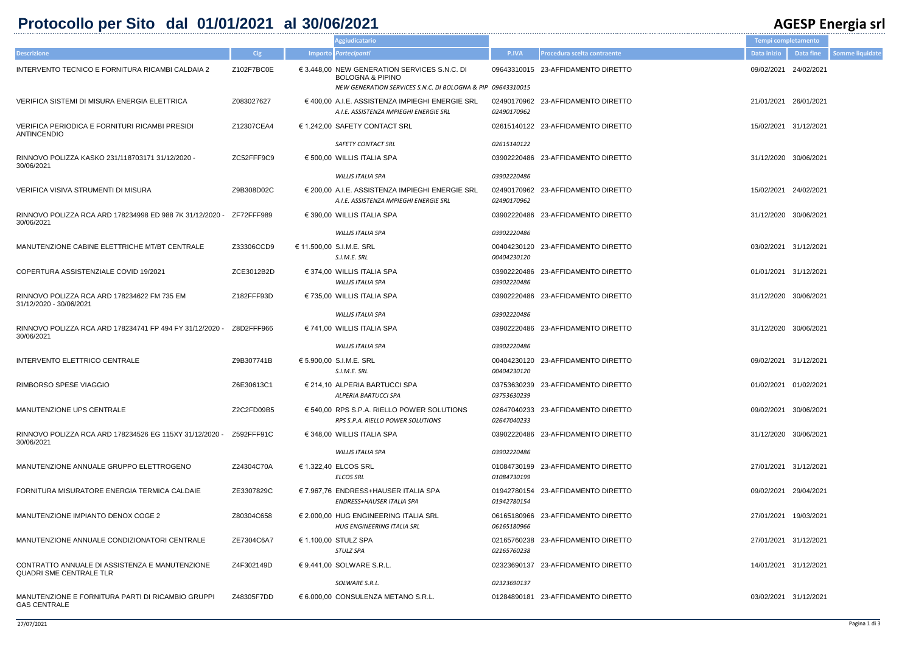## **Protocollo per Sito dal 01/01/2021 al 30/06/2021 AGESP Energia srl**

|         |                                | Tempi completamento   |                  |                        |
|---------|--------------------------------|-----------------------|------------------|------------------------|
| P.IVA   | Procedura scelta contraente    | Data inizio           | <b>Data fine</b> | <b>Somme liquidate</b> |
|         | 3310015 23-AFFIDAMENTO DIRETTO | 09/02/2021 24/02/2021 |                  |                        |
| 3310015 |                                |                       |                  |                        |
| 0170962 | 0170962 23-AFFIDAMENTO DIRETTO | 21/01/2021 26/01/2021 |                  |                        |
|         | 5140122 23-AFFIDAMENTO DIRETTO | 15/02/2021 31/12/2021 |                  |                        |
| 5140122 |                                |                       |                  |                        |
|         | 2220486 23-AFFIDAMENTO DIRETTO | 31/12/2020 30/06/2021 |                  |                        |
| 2220486 |                                |                       |                  |                        |
| 0170962 | 0170962 23-AFFIDAMENTO DIRETTO | 15/02/2021 24/02/2021 |                  |                        |
|         | 2220486 23-AFFIDAMENTO DIRETTO | 31/12/2020 30/06/2021 |                  |                        |
| 2220486 |                                |                       |                  |                        |
| 4230120 | 4230120 23-AFFIDAMENTO DIRETTO | 03/02/2021 31/12/2021 |                  |                        |
| 2220486 | 2220486 23-AFFIDAMENTO DIRETTO | 01/01/2021 31/12/2021 |                  |                        |
|         | 2220486 23-AFFIDAMENTO DIRETTO | 31/12/2020 30/06/2021 |                  |                        |
| 2220486 |                                |                       |                  |                        |
|         | 2220486 23-AFFIDAMENTO DIRETTO | 31/12/2020 30/06/2021 |                  |                        |
| 2220486 |                                |                       |                  |                        |
| 4230120 | 4230120 23-AFFIDAMENTO DIRETTO | 09/02/2021 31/12/2021 |                  |                        |
| 3630239 | 3630239 23-AFFIDAMENTO DIRETTO | 01/02/2021 01/02/2021 |                  |                        |
| 7040233 | 7040233 23-AFFIDAMENTO DIRETTO | 09/02/2021 30/06/2021 |                  |                        |
|         | 2220486 23-AFFIDAMENTO DIRETTO | 31/12/2020 30/06/2021 |                  |                        |
| 2220486 |                                |                       |                  |                        |
| 4730199 | 4730199 23-AFFIDAMENTO DIRETTO | 27/01/2021 31/12/2021 |                  |                        |
| 2780154 | 2780154 23-AFFIDAMENTO DIRETTO | 09/02/2021 29/04/2021 |                  |                        |
| 5180966 | 5180966 23-AFFIDAMENTO DIRETTO | 27/01/2021 19/03/2021 |                  |                        |
| 5760238 | 5760238 23-AFFIDAMENTO DIRETTO | 27/01/2021 31/12/2021 |                  |                        |
|         | 3690137 23-AFFIDAMENTO DIRETTO | 14/01/2021 31/12/2021 |                  |                        |
| 3690137 |                                |                       |                  |                        |
|         | 4890181 23-AFFIDAMENTO DIRETTO | 03/02/2021 31/12/2021 |                  |                        |

|                                                                                   |            | <b>Aggiudicatario</b>                                                                                                                               |                                   |                                    | Tempi completamento   |            |
|-----------------------------------------------------------------------------------|------------|-----------------------------------------------------------------------------------------------------------------------------------------------------|-----------------------------------|------------------------------------|-----------------------|------------|
| <b>Descrizione</b>                                                                | Cig        | Importo Partecipanti                                                                                                                                | <b>P.IVA</b>                      | Procedura scelta contraente        | Data inizio           | Data fine  |
| INTERVENTO TECNICO E FORNITURA RICAMBI CALDAIA 2                                  | Z102F7BC0E | $\epsilon$ 3.448,00 NEW GENERATION SERVICES S.N.C. DI<br><b>BOLOGNA &amp; PIPINO</b><br>NEW GENERATION SERVICES S.N.C. DI BOLOGNA & PIP 09643310015 |                                   | 09643310015 23-AFFIDAMENTO DIRETTO | 09/02/2021            | 24/02/2021 |
| VERIFICA SISTEMI DI MISURA ENERGIA ELETTRICA                                      | Z083027627 | $\in$ 400,00 A.I.E. ASSISTENZA IMPIEGHI ENERGIE SRL<br>A.I.E. ASSISTENZA IMPIEGHI ENERGIE SRL                                                       | 02490170962                       | 02490170962 23-AFFIDAMENTO DIRETTO | 21/01/2021 26/01/2021 |            |
| VERIFICA PERIODICA E FORNITURI RICAMBI PRESIDI<br>ANTINCENDIO                     | Z12307CEA4 | € 1.242,00 SAFETY CONTACT SRL                                                                                                                       |                                   | 02615140122 23-AFFIDAMENTO DIRETTO | 15/02/2021 31/12/2021 |            |
|                                                                                   |            | <b>SAFETY CONTACT SRL</b>                                                                                                                           | 02615140122                       |                                    |                       |            |
| RINNOVO POLIZZA KASKO 231/118703171 31/12/2020 -<br>30/06/2021                    | ZC52FFF9C9 | $\epsilon$ 500,00 WILLIS ITALIA SPA                                                                                                                 | 03902220486                       | 23-AFFIDAMENTO DIRETTO             | 31/12/2020            | 30/06/2021 |
|                                                                                   |            | <b>WILLIS ITALIA SPA</b>                                                                                                                            | 03902220486                       |                                    |                       |            |
| VERIFICA VISIVA STRUMENTI DI MISURA                                               | Z9B308D02C | € 200,00 A.I.E. ASSISTENZA IMPIEGHI ENERGIE SRL<br>A.I.E. ASSISTENZA IMPIEGHI ENERGIE SRL                                                           | 02490170962<br>02490170962        | 23-AFFIDAMENTO DIRETTO             | 15/02/2021            | 24/02/2021 |
| RINNOVO POLIZZA RCA ARD 178234998 ED 988 7K 31/12/2020 -<br>30/06/2021            | ZF72FFF989 | $\in$ 390.00 WILLIS ITALIA SPA                                                                                                                      |                                   | 03902220486 23-AFFIDAMENTO DIRETTO | 31/12/2020            | 30/06/2021 |
|                                                                                   |            | <b>WILLIS ITALIA SPA</b>                                                                                                                            | 03902220486                       |                                    |                       |            |
| MANUTENZIONE CABINE ELETTRICHE MT/BT CENTRALE                                     | Z33306CCD9 | € 11.500,00 S.I.M.E. SRL<br>S.I.M.E. SRL                                                                                                            | 00404230120<br><i>00404230120</i> | 23-AFFIDAMENTO DIRETTO             | 03/02/2021            | 31/12/2021 |
| COPERTURA ASSISTENZIALE COVID 19/2021                                             | ZCE3012B2D | $\in$ 374,00 WILLIS ITALIA SPA<br><b>WILLIS ITALIA SPA</b>                                                                                          | 03902220486<br>03902220486        | 23-AFFIDAMENTO DIRETTO             | 01/01/2021 31/12/2021 |            |
| RINNOVO POLIZZA RCA ARD 178234622 FM 735 EM<br>31/12/2020 - 30/06/2021            | Z182FFF93D | $\in$ 735,00 WILLIS ITALIA SPA                                                                                                                      | 03902220486                       | 23-AFFIDAMENTO DIRETTO             | 31/12/2020            | 30/06/2021 |
|                                                                                   |            | <b>WILLIS ITALIA SPA</b>                                                                                                                            | 03902220486                       |                                    |                       |            |
| RINNOVO POLIZZA RCA ARD 178234741 FP 494 FY 31/12/2020 - Z8D2FFF966<br>30/06/2021 |            | $\in$ 741,00 WILLIS ITALIA SPA                                                                                                                      | 03902220486                       | 23-AFFIDAMENTO DIRETTO             | 31/12/2020 30/06/2021 |            |
|                                                                                   |            | <b>WILLIS ITALIA SPA</b>                                                                                                                            | 03902220486                       |                                    |                       |            |
| INTERVENTO ELETTRICO CENTRALE                                                     | Z9B307741B | € 5.900,00 S.I.M.E. SRL<br>S.I.M.E. SRL                                                                                                             | 00404230120<br>00404230120        | 23-AFFIDAMENTO DIRETTO             | 09/02/2021            | 31/12/2021 |
| RIMBORSO SPESE VIAGGIO                                                            | Z6E30613C1 | € 214,10 ALPERIA BARTUCCI SPA<br>ALPERIA BARTUCCI SPA                                                                                               | 03753630239                       | 03753630239 23-AFFIDAMENTO DIRETTO | 01/02/2021 01/02/2021 |            |
| MANUTENZIONE UPS CENTRALE                                                         | Z2C2FD09B5 | $\epsilon$ 540.00 RPS S.P.A. RIELLO POWER SOLUTIONS<br>RPS S.P.A. RIELLO POWER SOLUTIONS                                                            | 02647040233<br>02647040233        | 23-AFFIDAMENTO DIRETTO             | 09/02/2021 30/06/2021 |            |
| RINNOVO POLIZZA RCA ARD 178234526 EG 115XY 31/12/2020 -<br>30/06/2021             | Z592FFF91C | $\in$ 348,00 WILLIS ITALIA SPA                                                                                                                      |                                   | 03902220486 23-AFFIDAMENTO DIRETTO | 31/12/2020 30/06/2021 |            |
|                                                                                   |            | <b>WILLIS ITALIA SPA</b>                                                                                                                            | 03902220486                       |                                    |                       |            |
| MANUTENZIONE ANNUALE GRUPPO ELETTROGENO                                           | Z24304C70A | € 1.322,40 ELCOS SRL<br><b>ELCOS SRL</b>                                                                                                            | 01084730199<br>01084730199        | 23-AFFIDAMENTO DIRETTO             | 27/01/2021 31/12/2021 |            |
| FORNITURA MISURATORE ENERGIA TERMICA CALDAIE                                      | ZE3307829C | € 7.967,76 ENDRESS+HAUSER ITALIA SPA<br>ENDRESS+HAUSER ITALIA SPA                                                                                   | 01942780154<br>01942780154        | 23-AFFIDAMENTO DIRETTO             | 09/02/2021 29/04/2021 |            |
| MANUTENZIONE IMPIANTO DENOX COGE 2                                                | Z80304C658 | € 2.000,00 HUG ENGINEERING ITALIA SRL<br><b>HUG ENGINEERING ITALIA SRL</b>                                                                          | 06165180966<br>06165180966        | 23-AFFIDAMENTO DIRETTO             | 27/01/2021 19/03/2021 |            |
| MANUTENZIONE ANNUALE CONDIZIONATORI CENTRALE                                      | ZE7304C6A7 | € 1.100,00 STULZ SPA<br>STULZ SPA                                                                                                                   | 02165760238<br>02165760238        | 23-AFFIDAMENTO DIRETTO             | 27/01/2021 31/12/2021 |            |
| CONTRATTO ANNUALE DI ASSISTENZA E MANUTENZIONE<br><b>QUADRI SME CENTRALE TLR</b>  | Z4F302149D | €9.441,00 SOLWARE S.R.L.                                                                                                                            |                                   | 02323690137 23-AFFIDAMENTO DIRETTO | 14/01/2021 31/12/2021 |            |
|                                                                                   |            | SOLWARE S.R.L.                                                                                                                                      | 02323690137                       |                                    |                       |            |
| MANUTENZIONE E FORNITURA PARTI DI RICAMBIO GRUPPI<br><b>GAS CENTRALE</b>          | Z48305F7DD | $\in$ 6.000,00 CONSULENZA METANO S.R.L.                                                                                                             |                                   | 01284890181 23-AFFIDAMENTO DIRETTO | 03/02/2021 31/12/2021 |            |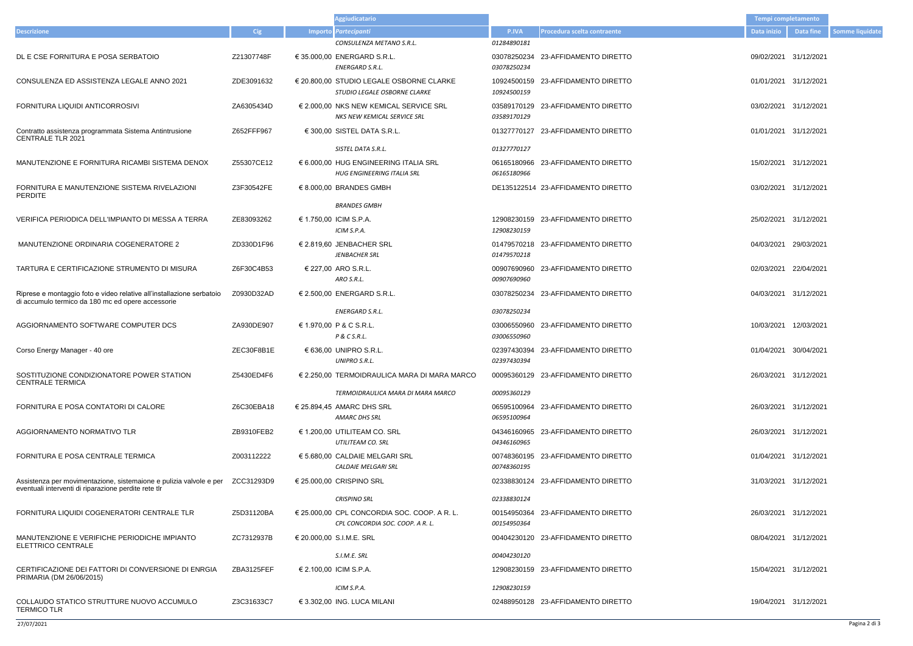- 
- 
- 
- 01/01/2021 31/12/2021
- 
- 03/02/2021 31/12/2021
- 
- 
- 
- 04/03/2021 31/12/2021
- 
- 
- 26/03/2021 31/12/2021
- 
- 
- 
- 31/03/2021 31/12/2021
- 
- 08/04/2021 31/12/2021
- ZBA3125FEF € 2.100,00 ICIM S.P.A. 12908230159 23-AFFIDAMENTO DIRETTO 15/04/2021 31/12/2021
- 19/04/2021 31/12/2021

|                                                                                                                            |            | <b>Aggiudicatario</b>                                                                |                            |                                    | <b>Tempi completamento</b> |            |
|----------------------------------------------------------------------------------------------------------------------------|------------|--------------------------------------------------------------------------------------|----------------------------|------------------------------------|----------------------------|------------|
| <b>Descrizione</b>                                                                                                         | <b>Cig</b> | Importo Partecipanti                                                                 | P.IVA                      | Procedura scelta contraente        | Data inizio                | Data fine  |
|                                                                                                                            |            | CONSULENZA METANO S.R.L.                                                             | 01284890181                |                                    |                            |            |
| DL E CSE FORNITURA E POSA SERBATOIO                                                                                        | Z21307748F | € 35.000,00 ENERGARD S.R.L.<br>ENERGARD S.R.L.                                       | 03078250234<br>03078250234 | 23-AFFIDAMENTO DIRETTO             | 09/02/2021                 | 31/12/2021 |
| CONSULENZA ED ASSISTENZA LEGALE ANNO 2021                                                                                  | ZDE3091632 | € 20.800,00 STUDIO LEGALE OSBORNE CLARKE<br>STUDIO LEGALE OSBORNE CLARKE             | 10924500159<br>10924500159 | 23-AFFIDAMENTO DIRETTO             | 01/01/2021 31/12/2021      |            |
| FORNITURA LIQUIDI ANTICORROSIVI                                                                                            | ZA6305434D | € 2.000,00 NKS NEW KEMICAL SERVICE SRL<br>NKS NEW KEMICAL SERVICE SRL                | 03589170129                | 03589170129 23-AFFIDAMENTO DIRETTO | 03/02/2021 31/12/2021      |            |
| Contratto assistenza programmata Sistema Antintrusione<br><b>CENTRALE TLR 2021</b>                                         | Z652FFF967 | € 300,00 SISTEL DATA S.R.L.                                                          | 01327770127                | 23-AFFIDAMENTO DIRETTO             | 01/01/2021                 | 31/12/2021 |
|                                                                                                                            |            | SISTEL DATA S.R.L.                                                                   | 01327770127                |                                    |                            |            |
| MANUTENZIONE E FORNITURA RICAMBI SISTEMA DENOX                                                                             | Z55307CE12 | € 6.000,00 HUG ENGINEERING ITALIA SRL<br>HUG ENGINEERING ITALIA SRL                  | 06165180966<br>06165180966 | 23-AFFIDAMENTO DIRETTO             | 15/02/2021 31/12/2021      |            |
| FORNITURA E MANUTENZIONE SISTEMA RIVELAZIONI<br><b>PERDITE</b>                                                             | Z3F30542FE | $\in$ 8.000.00 BRANDES GMBH                                                          |                            | DE135122514 23-AFFIDAMENTO DIRETTO | 03/02/2021                 | 31/12/2021 |
|                                                                                                                            |            | <b>BRANDES GMBH</b>                                                                  |                            |                                    |                            |            |
| VERIFICA PERIODICA DELL'IMPIANTO DI MESSA A TERRA                                                                          | ZE83093262 | € 1.750,00 ICIM S.P.A.<br>ICIM S.P.A.                                                | 12908230159                | 12908230159 23-AFFIDAMENTO DIRETTO | 25/02/2021                 | 31/12/2021 |
| MANUTENZIONE ORDINARIA COGENERATORE 2                                                                                      | ZD330D1F96 | € 2.819,60 JENBACHER SRL<br><b>JENBACHER SRL</b>                                     | 01479570218                | 01479570218 23-AFFIDAMENTO DIRETTO | 04/03/2021                 | 29/03/2021 |
| TARTURA E CERTIFICAZIONE STRUMENTO DI MISURA                                                                               | Z6F30C4B53 | € 227,00 ARO S.R.L.<br>ARO S.R.L.                                                    | 00907690960<br>00907690960 | 23-AFFIDAMENTO DIRETTO             | 02/03/2021                 | 22/04/2021 |
| Riprese e montaggio foto e video relative all'installazione serbatoio<br>di accumulo termico da 180 mc ed opere accessorie | Z0930D32AD | € 2.500,00 ENERGARD S.R.L.                                                           | 03078250234                | 23-AFFIDAMENTO DIRETTO             | 04/03/2021                 | 31/12/2021 |
|                                                                                                                            |            | ENERGARD S.R.L.                                                                      | 03078250234                |                                    |                            |            |
| AGGIORNAMENTO SOFTWARE COMPUTER DCS                                                                                        | ZA930DE907 | € 1.970,00 P & C S.R.L.<br>P & C S.R.L.                                              | 03006550960<br>03006550960 | 23-AFFIDAMENTO DIRETTO             | 10/03/2021                 | 12/03/2021 |
| Corso Energy Manager - 40 ore                                                                                              | ZEC30F8B1E | € 636,00 UNIPRO S.R.L.<br>UNIPRO S.R.L.                                              | 02397430394                | 02397430394 23-AFFIDAMENTO DIRETTO | 01/04/2021                 | 30/04/2021 |
| SOSTITUZIONE CONDIZIONATORE POWER STATION<br><b>CENTRALE TERMICA</b>                                                       | Z5430ED4F6 | $\epsilon$ 2.250,00 TERMOIDRAULICA MARA DI MARA MARCO                                |                            | 00095360129 23-AFFIDAMENTO DIRETTO | 26/03/2021 31/12/2021      |            |
|                                                                                                                            |            | TERMOIDRAULICA MARA DI MARA MARCO                                                    | 00095360129                |                                    |                            |            |
| FORNITURA E POSA CONTATORI DI CALORE                                                                                       | Z6C30EBA18 | € 25.894,45 AMARC DHS SRL<br><b>AMARC DHS SRL</b>                                    | 06595100964<br>06595100964 | 23-AFFIDAMENTO DIRETTO             | 26/03/2021 31/12/2021      |            |
| AGGIORNAMENTO NORMATIVO TLR                                                                                                | ZB9310FEB2 | $\in$ 1.200.00 UTILITEAM CO. SRL<br>UTILITEAM CO. SRL                                | 04346160965                | 04346160965 23-AFFIDAMENTO DIRETTO | 26/03/2021                 | 31/12/2021 |
| FORNITURA E POSA CENTRALE TERMICA                                                                                          | Z003112222 | € 5.680,00 CALDAIE MELGARI SRL<br><b>CALDAIE MELGARI SRL</b>                         | 00748360195<br>00748360195 | 23-AFFIDAMENTO DIRETTO             | 01/04/2021 31/12/2021      |            |
| Assistenza per movimentazione, sistemaione e pulizia valvole e per<br>eventuali interventi di riparazione perdite rete tlr | ZCC31293D9 | € 25.000,00 CRISPINO SRL                                                             |                            | 02338830124 23-AFFIDAMENTO DIRETTO | 31/03/2021                 | 31/12/2021 |
|                                                                                                                            |            | <b>CRISPINO SRL</b>                                                                  | 02338830124                |                                    |                            |            |
| FORNITURA LIQUIDI COGENERATORI CENTRALE TLR                                                                                | Z5D31120BA | $\in$ 25.000,00 CPL CONCORDIA SOC. COOP. A R. L.<br>CPL CONCORDIA SOC. COOP. A R. L. | 00154950364<br>00154950364 | 23-AFFIDAMENTO DIRETTO             | 26/03/2021                 | 31/12/2021 |
| MANUTENZIONE E VERIFICHE PERIODICHE IMPIANTO<br>ELETTRICO CENTRALE                                                         | ZC7312937B | € 20.000,00 S.I.M.E. SRL                                                             |                            | 00404230120 23-AFFIDAMENTO DIRETTO | 08/04/2021 31/12/2021      |            |
|                                                                                                                            |            | S.I.M.E. SRL                                                                         | 00404230120                |                                    |                            |            |
| CERTIFICAZIONE DEI FATTORI DI CONVERSIONE DI ENRGIA<br>PRIMARIA (DM 26/06/2015)                                            | ZBA3125FEF | € 2.100,00 ICIM S.P.A.                                                               |                            | 12908230159 23-AFFIDAMENTO DIRETTO | 15/04/2021 31/12/2021      |            |
|                                                                                                                            |            | ICIM S.P.A.                                                                          | 12908230159                |                                    |                            |            |
| COLLAUDO STATICO STRUTTURE NUOVO ACCUMULO<br><b>TERMICO TLR</b>                                                            | Z3C31633C7 | € 3.302,00 ING. LUCA MILANI                                                          |                            | 02488950128 23-AFFIDAMENTO DIRETTO | 19/04/2021 31/12/2021      |            |